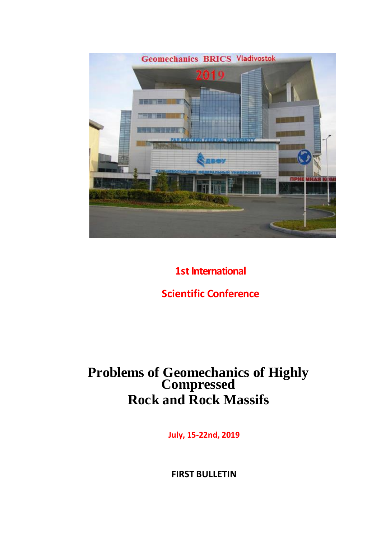

# **1st International**

# **Scientific Conference**

# **Problems of Geomechanics of Highly Compressed Rock and Rock Massifs**

**July, 15-22nd, 2019**

**FIRST BULLETIN**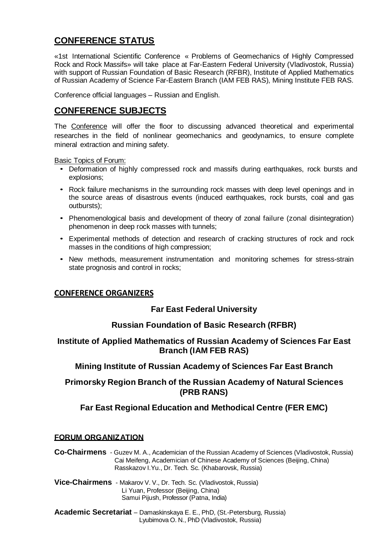## **CONFERENCE STATUS**

«1st International Scientific Conference « Problems of Geomechanics of Highly Compressed Rock and Rock Massifs» will take place at Far-Eastern Federal University (Vladivostok, Russia) with support of Russian Foundation of Basic Research (RFBR), Institute of Applied Mathematics of Russian Academy of Science Far-Eastern Branch (IAM FEB RAS), Mining Institute FEB RAS.

Conference official languages – Russian and English.

## **CONFERENCE SUBJECTS**

The Conference will offer the floor to discussing advanced theoretical and experimental researches in the field of nonlinear geomechanics and geodynamics, to ensure complete mineral extraction and mining safety.

Basic Topics of Forum:

- Deformation of highly compressed rock and massifs during earthquakes, rock bursts and explosions;
- Rock failure mechanisms in the surrounding rock masses with deep level openings and in the source areas of disastrous events (induced earthquakes, rock bursts, coal and gas outbursts);
- Phenomenological basis and development of theory of zonal failure (zonal disintegration) phenomenon in deep rock masses with tunnels;
- Experimental methods of detection and research of cracking structures of rock and rock masses in the conditions of high compression;
- New methods, measurement instrumentation and monitoring schemes for stress-strain state prognosis and control in rocks;

## **CONFERENCE ORGANIZERS**

## **Far East Federal University**

## **Russian Foundation of Basic Research (RFBR)**

### **Institute of Applied Mathematics of Russian Academy of Sciences Far East Branch (IAM FEB RAS)**

## **Mining Institute of Russian Academy of Sciences Far East Branch**

## **Primorsky Region Branch of the Russian Academy of Natural Sciences (PRB RANS)**

## **Far East Regional Education and Methodical Centre (FER EMC)**

#### **FORUM ORGANIZATION**

**Co-Chairmens** - Guzev M. A., Academician of the Russian Academy of Sciences (Vladivostok, Russia) Cai Meifeng, Academician of Chinese Academy of Sciences (Beijing, China) Rasskazov I.Yu., Dr. Tech. Sc. (Khabarovsk, Russia)

**Vice-Chairmens** - Makarov V. V., Dr. Tech. Sc. (Vladivostok, Russia) Li Yuan, Professor (Beijing, China) Samui Pijush, Professor (Patna, India)

**Academic Secretariat** – Damaskinskaya E. E., PhD, (St.-Petersburg, Russia) Lyubimova O. N., PhD (Vladivostok, Russia)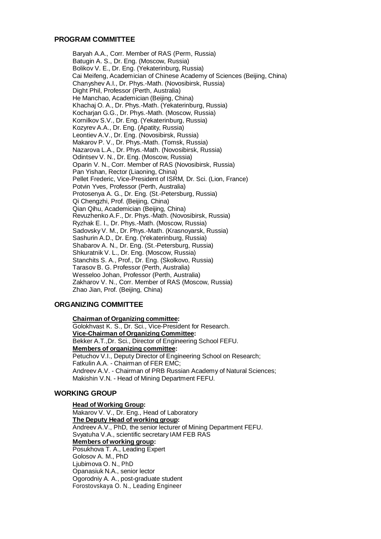#### **PROGRAM COMMITTEE**

Baryah A.A., Corr. Member of RAS (Perm, Russia) Batugin A. S., Dr. Eng. (Moscow, Russia) Bolikov V. E., Dr. Eng. (Yekaterinburg, Russia) Cai Meifeng, Academician of Chinese Academy of Sciences (Beijing, China) Chanyshev A.I., Dr. Phys.-Math. (Novosibirsk, Russia) Dight Phil, Professor (Perth, Australia) He Manchao, Academician (Beijing, China) Khachaj O. A., Dr. Phys.-Math. (Yekaterinburg, Russia) Kocharjan G.G., Dr. Phys.-Math. (Moscow, Russia) Kornilkov S.V., Dr. Eng. (Yekaterinburg, Russia) Kozyrev A.A., Dr. Eng. (Apatity, Russia) Leontiev A.V., Dr. Eng. (Novosibirsk, Russia) Makarov P. V., Dr. Phys.-Math. (Tomsk, Russia) Nazarova L.A., Dr. Phys.-Math. (Novosibirsk, Russia) Odintsev V. N., Dr. Eng. (Moscow, Russia) Oparin V. N., Corr. Member of RAS (Novosibirsk, Russia) Pan Yishan, Rector (Liaoning, China) Pellet Frederic, Vice-President of ISRM, Dr. Sci. (Lion, France) Potvin Yves, Professor (Perth, Australia) Protosenya A. G., Dr. Eng. (St.-Petersburg, Russia) Qi Chengzhi, Prof. (Beijing, China) Qian Qihu, Academician (Beijing, China) Revuzhenko A.F., Dr. Phys.-Math. (Novosibirsk, Russia) Ryzhak E. I., Dr. Phys.-Math. (Moscow, Russia) Sadovsky V. M., Dr. Phys.-Math. (Krasnoyarsk, Russia) Sashurin A.D., Dr. Eng. (Yekaterinburg, Russia) Shabarov A. N., Dr. Eng. (St.-Petersburg, Russia) Shkuratnik V. L., Dr. Eng. (Moscow, Russia) Stanchits S. A., Prof., Dr. Eng. (Skolkovo, Russia) Tarasov B. G. Professor (Perth, Australia) Wesseloo Johan, Professor (Perth, Australia) Zakharov V. N., Corr. Member of RAS (Moscow, Russia) Zhao Jian, Prof. (Beijing, China)

#### **ORGANIZING COMMITTEE**

**Chairman of Organizing committee:** Golokhvast K. S., Dr. Sci., Vice-President for Research. **Vice-Chairman of Organizing Committee:** Bekker A.T.,Dr. Sci., Director of Engineering School FEFU. **Members of organizing committee:** Petuchov V.I., Deputy Director of Engineering School on Research; Fatkulin A.A. - Chairman of FER EMC; Andreev A.V. - Chairman of PRB Russian Academy of Natural Sciences; Makishin V.N. - Head of Mining Department FEFU.

#### **WORKING GROUP**

**Head of Working Group:** Makarov V. V., Dr. Eng., Head of Laboratory **The Deputy Head of working group:** Andreev A.V., PhD, the senior lecturer of Mining Department FEFU. Svyatuha V.A., scientific secretary IAM FEB RAS **Members of working group:** Posukhova T. A., Leading Expert Golosov A. M., PhD Ljubimova O. N., PhD Opanasiuk N.A., senior lector Ogorodniy A. A., post-graduate student Forostovskaya O. N., Leading Engineer